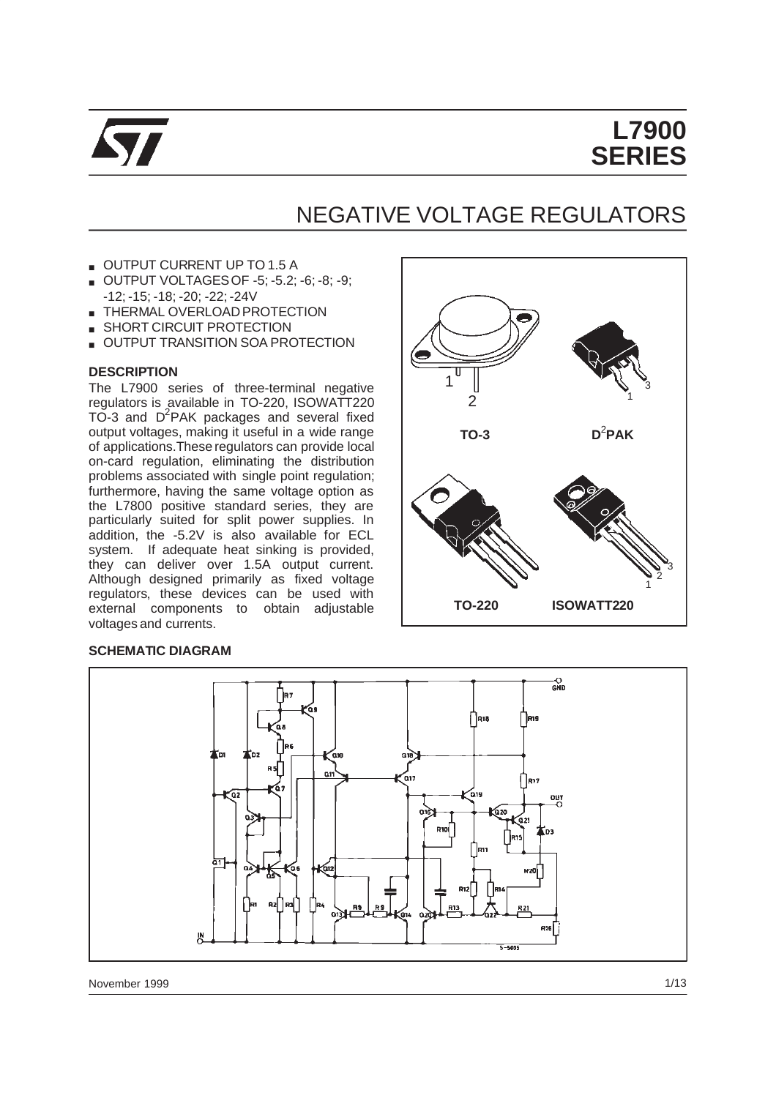

# **L7900 SERIES**

# NEGATIVE VOLTAGE REGULATORS

- OUTPUT CURRENT UP TO 1.5 A
- OUTPUT VOLTAGESOF -5; -5.2; -6; -8; -9; -12; -15; -18; -20; -22; -24V
- THERMAL OVERLOAD PROTECTION
- SHORT CIRCUIT PROTECTION
- **OUTPUT TRANSITION SOA PROTECTION**

#### **DESCRIPTION**

The L7900 series of three-terminal negative regulators is available in TO-220, ISOWATT220 TO-3 and D<sup>2</sup>PAK packages and several fixed output voltages, making it useful in a wide range of applications.These regulators can provide local on-card regulation, eliminating the distribution problems associated with single point regulation; furthermore, having the same voltage option as the L7800 positive standard series, they are particularly suited for split power supplies. In addition, the -5.2V is also available for ECL system. If adequate heat sinking is provided, they can deliver over 1.5A output current. Although designed primarily as fixed voltage regulators, these devices can be used with external components to obtain adjustable voltages and currents.

#### **SCHEMATIC DIAGRAM**



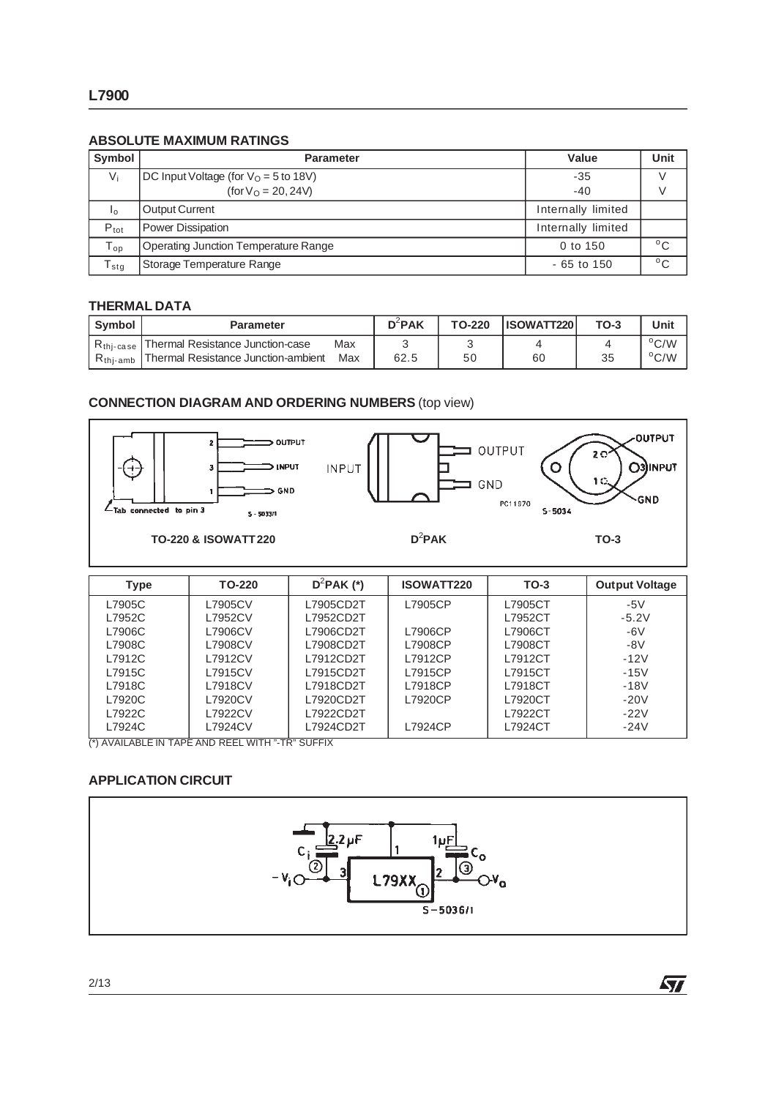### **ABSOLUTE MAXIMUM RATINGS**

| Symbol           | <b>Parameter</b>                            | Value              | Unit         |
|------------------|---------------------------------------------|--------------------|--------------|
| $V_i$            | $DC$ Input Voltage (for $VO = 5$ to 18V)    | $-35$              |              |
|                  | (for $V_0 = 20, 24V$ )                      | $-40$              |              |
| $I_{\Omega}$     | <b>Output Current</b>                       | Internally limited |              |
| $P_{\text{tot}}$ | Power Dissipation                           | Internally limited |              |
| $T_{op}$         | <b>Operating Junction Temperature Range</b> | 0 to 150           | °C           |
| $T_{\text{stg}}$ | Storage Temperature Range                   | $-65$ to 150       | $^{\circ}$ C |

#### **THERMAL DATA**

| Symbol                | <b>Parameter</b>                    |     | $D^2$ PAK | TO-220 | <b>IISOWATT220</b> | $TO-3$ | Unit          |
|-----------------------|-------------------------------------|-----|-----------|--------|--------------------|--------|---------------|
| $R_{\text{thi-case}}$ | Thermal Resistance Junction-case    | Max |           |        |                    |        | $\rm ^{o}C/W$ |
| $R_{\text{thi-amb}}$  | Thermal Resistance Junction-ambient | Max | 62.5      | 50     | 60                 | 35     | $\rm ^{o}C/W$ |

### **CONNECTION DIAGRAM AND ORDERING NUMBERS** (top view)



| <b>Type</b> | TO-220                                                                                                                                                                                                                                                                                                                                                         | $D^2$ PAK (*) | <b>ISOWATT220</b> | $TO-3$  | <b>Output Voltage</b> |
|-------------|----------------------------------------------------------------------------------------------------------------------------------------------------------------------------------------------------------------------------------------------------------------------------------------------------------------------------------------------------------------|---------------|-------------------|---------|-----------------------|
| L7905C      | L7905CV                                                                                                                                                                                                                                                                                                                                                        | L7905CD2T     | L7905CP           | L7905CT | $-5V$                 |
| L7952C      | L7952CV                                                                                                                                                                                                                                                                                                                                                        | L7952CD2T     |                   | L7952CT | $-5.2V$               |
| L7906C      | L7906CV                                                                                                                                                                                                                                                                                                                                                        | L7906CD2T     | L7906CP           | L7906CT | $-6V$                 |
| L7908C      | L7908CV                                                                                                                                                                                                                                                                                                                                                        | L7908CD2T     | L7908CP           | L7908CT | $-8V$                 |
| L7912C      | L7912CV                                                                                                                                                                                                                                                                                                                                                        | L7912CD2T     | L7912CP           | L7912CT | $-12V$                |
| L7915C      | L7915CV                                                                                                                                                                                                                                                                                                                                                        | L7915CD2T     | L7915CP           | L7915CT | $-15V$                |
| L7918C      | L7918CV                                                                                                                                                                                                                                                                                                                                                        | L7918CD2T     | L7918CP           | L7918CT | $-18V$                |
| L7920C      | L7920CV                                                                                                                                                                                                                                                                                                                                                        | L7920CD2T     | L7920CP           | L7920CT | $-20V$                |
| L7922C      | L7922CV                                                                                                                                                                                                                                                                                                                                                        | L7922CD2T     |                   | L7922CT | $-22V$                |
| L7924C      | L7924CV<br>$\overline{a}$ , $\overline{a}$ , $\overline{a}$ , $\overline{b}$ , $\overline{c}$ , $\overline{c}$ , $\overline{c}$ , $\overline{c}$ , $\overline{c}$ , $\overline{c}$ , $\overline{c}$ , $\overline{c}$ , $\overline{c}$ , $\overline{c}$ , $\overline{c}$ , $\overline{c}$ , $\overline{c}$ , $\overline{c}$ , $\overline{c}$ , $\overline{c}$ , | L7924CD2T     | L7924CP           | L7924CT | $-24V$                |

(\*) AVAILABLE IN TAPE AND REEL WITH "-TR" SUFFIX

## **APPLICATION CIRCUIT**



 $\sqrt{2}$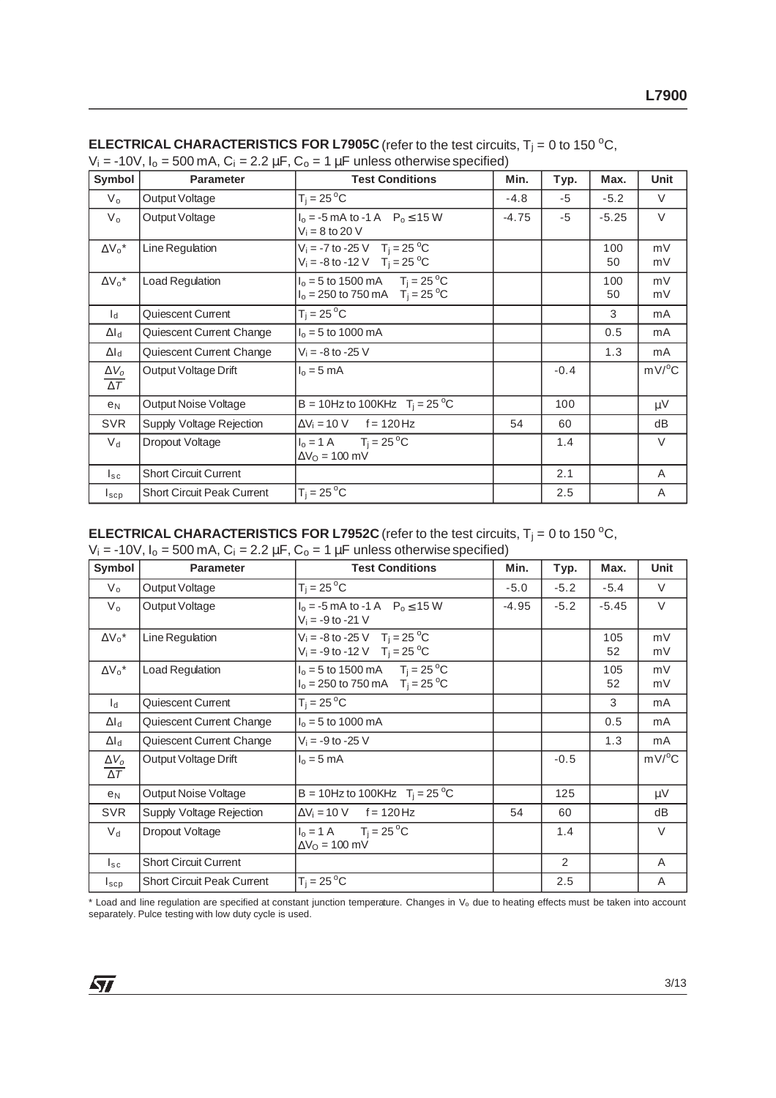| Symbol                                  | <b>Parameter</b>                  | <b>Test Conditions</b>                                                                   | Min.    | Typ.   | Max.      | <b>Unit</b>         |
|-----------------------------------------|-----------------------------------|------------------------------------------------------------------------------------------|---------|--------|-----------|---------------------|
| $V_{o}$                                 | Output Voltage                    | $T_i = 25^{\circ}C$                                                                      | $-4.8$  | $-5$   | $-5.2$    | V                   |
| $V_{o}$                                 | Output Voltage                    | $I_0 = -5$ mA to -1 A $P_0 \le 15$ W<br>$V_i = 8$ to 20 V                                | $-4.75$ | $-5$   | $-5.25$   | $\vee$              |
| $\Delta V_0^*$                          | Line Regulation                   | $V_i = -7$ to -25 V T <sub>j</sub> = 25 °C<br>$V_i = -8$ to -12 V T <sub>i</sub> = 25 °C |         |        | 100<br>50 | mV<br>mV            |
| $\Delta V_0^*$                          | <b>Load Regulation</b>            | $I_0 = 5$ to 1500 mA $T_i = 25$ °C<br>$I_0 = 250$ to 750 mA $T_i = 25$ °C                |         |        | 100<br>50 | mV<br>mV            |
| $\mathsf{I}_{\mathsf{d}}$               | Quiescent Current                 | $T_i = 25^{\circ}C$                                                                      |         |        | 3         | mA                  |
| $\Delta I_d$                            | Quiescent Current Change          | $I_0 = 5$ to 1000 mA                                                                     |         |        | 0.5       | mA                  |
| $\Delta I_d$                            | Quiescent Current Change          | $V_i = -8$ to $-25$ V                                                                    |         |        | 1.3       | mA                  |
| $\Delta V_{o}$<br>$\overline{\Delta T}$ | Output Voltage Drift              | $I_0 = 5$ mA                                                                             |         | $-0.4$ |           | $mV$ <sup>o</sup> C |
| e <sub>N</sub>                          | Output Noise Voltage              | B = 10Hz to 100KHz $T_i = 25 °C$                                                         |         | 100    |           | μV                  |
| <b>SVR</b>                              | Supply Voltage Rejection          | $\Delta V_i = 10 \text{ V}$ f = 120 Hz                                                   | 54      | 60     |           | dB                  |
| $V_d$                                   | Dropout Voltage                   | $I_0 = 1 \text{ A}$ $T_i = 25 \text{ }^{\circ}\text{C}$<br>$\Delta V_O = 100$ mV         |         | 1.4    |           | $\vee$              |
| $I_{SC}$                                | <b>Short Circuit Current</b>      |                                                                                          |         | 2.1    |           | A                   |
| $I_{\texttt{SCP}}$                      | <b>Short Circuit Peak Current</b> | $T_i = 25^{\circ}C$                                                                      |         | 2.5    |           | A                   |

**ELECTRICAL CHARACTERISTICS FOR L7905C** (refer to the test circuits,  $T_j = 0$  to 150 °C,  $V_i = -10V$ ,  $I_0 = 500$  mA,  $C_i = 2.2 \mu F$ ,  $C_0 = 1 \mu F$  unless otherwise specified)

# **ELECTRICAL CHARACTERISTICS FOR L7952C** (refer to the test circuits,  $T_j = 0$  to 150 °C,

| Symbol                                | <b>Parameter</b>                  | <b>Test Conditions</b>                                                                     | Min.    | Typ.   | Max.      | Unit                |
|---------------------------------------|-----------------------------------|--------------------------------------------------------------------------------------------|---------|--------|-----------|---------------------|
| $V_{o}$                               | Output Voltage                    | $T_i = 25^{\circ}C$                                                                        | $-5.0$  | $-5.2$ | $-5.4$    | $\vee$              |
| $V_{\rm o}$                           | Output Voltage                    | $I_0 = -5$ mA to -1 A $P_0 \le 15$ W<br>$V_i = -9$ to $-21$ V                              | $-4.95$ | $-5.2$ | $-5.45$   | $\vee$              |
| $\Delta V_0^*$                        | Line Regulation                   | $V_i = -8$ to -25 V T <sub>i</sub> = 25 °C<br>$V_i = -9$ to $-12$ V T <sub>i</sub> = 25 °C |         |        | 105<br>52 | mV<br>mV            |
| $\Delta V_0^*$                        | <b>Load Regulation</b>            | $I_0 = 5$ to 1500 mA $T_i = 25$ °C<br>$I_0 = 250$ to 750 mA $T_i = 25$ °C                  |         |        | 105<br>52 | mV<br>mV            |
| $\mathsf{I}_{\mathsf{d}}$             | Quiescent Current                 | $T_i = 25^{\circ}C$                                                                        |         |        | 3         | mA                  |
| $\Delta I_d$                          | Quiescent Current Change          | $I_0 = 5$ to 1000 mA                                                                       |         |        | 0.5       | mA                  |
| $\Delta I_{\rm d}$                    | Quiescent Current Change          | $V_i = -9$ to $-25$ V                                                                      |         |        | 1.3       | mA                  |
| $\Delta V_o$<br>$\overline{\Delta T}$ | Output Voltage Drift              | $I_0 = 5$ mA                                                                               |         | $-0.5$ |           | $mV$ <sup>o</sup> C |
| e <sub>N</sub>                        | Output Noise Voltage              | B = 10Hz to 100KHz $T_i = 25 °C$                                                           |         | 125    |           | $\mu V$             |
| <b>SVR</b>                            | Supply Voltage Rejection          | $\Delta V_i = 10 \text{ V}$ f = 120 Hz                                                     | 54      | 60     |           | dB                  |
| $V_{\rm d}$                           | Dropout Voltage                   | $I_0 = 1 \text{ A}$ $T_i = 25 \text{ }^{\circ}\text{C}$<br>$\Delta V_O = 100$ mV           |         | 1.4    |           | V                   |
| $I_{\tt sc}$                          | <b>Short Circuit Current</b>      |                                                                                            |         | 2      |           | A                   |
| $I_{\texttt{SCP}}$                    | <b>Short Circuit Peak Current</b> | $T_i = 25^{\circ}C$                                                                        |         | 2.5    |           | Α                   |

\* Load and line regulation are specified at constant junction temperature. Changes in V<sub>o</sub> due to heating effects must be taken into account separately. Pulce testing with low duty cycle is used.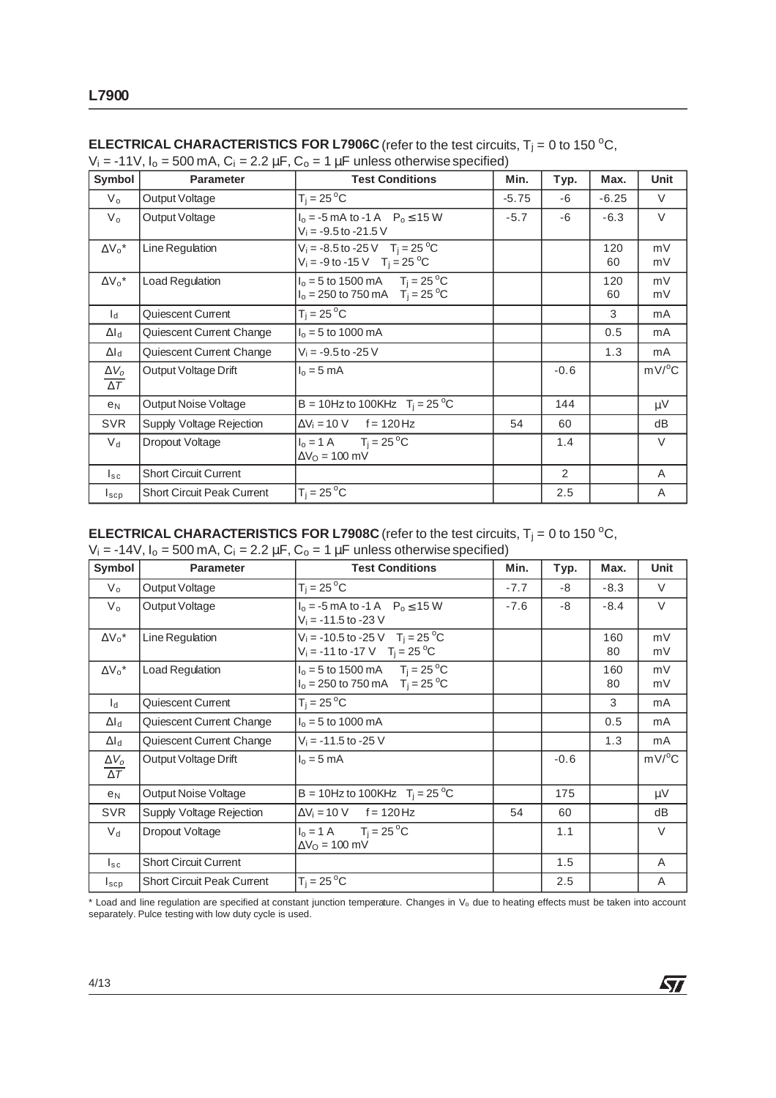| Symbol                     | <b>Parameter</b>                  | <b>Test Conditions</b>                                                                                   | Min.    | Typ.   | Max.      | Unit                |
|----------------------------|-----------------------------------|----------------------------------------------------------------------------------------------------------|---------|--------|-----------|---------------------|
| $V_{o}$                    | Output Voltage                    | $T_i = 25^{\circ}C$                                                                                      | $-5.75$ | -6     | $-6.25$   | $\vee$              |
| $V_{o}$                    | Output Voltage                    | $I_0 = -5$ mA to -1 A $P_0 \le 15$ W<br>$V_i = -9.5$ to $-21.5$ V                                        | $-5.7$  | -6     | $-6.3$    | $\vee$              |
| $\Delta V_0^*$             | Line Regulation                   | $V_i = -8.5$ to $-25$ V T <sub>i</sub> = 25 <sup>o</sup> C<br>$V_i = -9$ to -15 V T <sub>i</sub> = 25 °C |         |        | 120<br>60 | mV<br>mV            |
| $\Delta V_0^*$             | <b>Load Regulation</b>            | $I_0 = 5$ to 1500 mA $T_i = 25$ °C<br>$I_0 = 250$ to 750 mA $T_i = 25$ °C                                |         |        | 120<br>60 | mV<br>mV            |
| $\mathsf{I}_{\mathsf{d}}$  | Quiescent Current                 | $T_i = 25^{\circ}C$                                                                                      |         |        | 3         | mA                  |
| $\Delta I_d$               | Quiescent Current Change          | $I_0 = 5$ to 1000 mA                                                                                     |         |        | 0.5       | mA                  |
| $\Delta I_d$               | Quiescent Current Change          | $V_i = -9.5$ to $-25$ V                                                                                  |         |        | 1.3       | mA                  |
| $\Delta V_o$<br>$\Delta T$ | Output Voltage Drift              | $I_0 = 5$ mA                                                                                             |         | $-0.6$ |           | $mV$ <sup>o</sup> C |
| e <sub>N</sub>             | Output Noise Voltage              | B = 10Hz to 100KHz $T_i = 25 \,^{\circ}\text{C}$                                                         |         | 144    |           | μV                  |
| <b>SVR</b>                 | Supply Voltage Rejection          | $\Delta V_i = 10 \text{ V}$ f = 120 Hz                                                                   | 54      | 60     |           | dB                  |
| $V_{\rm d}$                | Dropout Voltage                   | $I_0 = 1 \text{ A}$ $T_i = 25 \text{ }^{\circ}\text{C}$<br>$\Delta V_O = 100$ mV                         |         | 1.4    |           | $\vee$              |
| $I_{SC}$                   | <b>Short Circuit Current</b>      |                                                                                                          |         | 2      |           | A                   |
| $I_{\texttt{SCP}}$         | <b>Short Circuit Peak Current</b> | $T_i = 25^{\circ}C$                                                                                      |         | 2.5    |           | A                   |

### **ELECTRICAL CHARACTERISTICS FOR L7906C** (refer to the test circuits,  $T_j = 0$  to 150 °C,  $V_i$  = -11V,  $I_o$  = 500 mA,  $C_i$  = 2.2  $\mu$ F,  $C_o$  = 1  $\mu$ F unless otherwise specified)

**ELECTRICAL CHARACTERISTICS FOR L7908C** (refer to the test circuits,  $T_j = 0$  to 150 °C,

| Symbol                                | <b>Parameter</b>                  | <b>Test Conditions</b>                                                                                                   | Min.   | Typ.   | Max.      | Unit     |
|---------------------------------------|-----------------------------------|--------------------------------------------------------------------------------------------------------------------------|--------|--------|-----------|----------|
| $V_{o}$                               | Output Voltage                    | $T_i = 25^{\circ}C$                                                                                                      | $-7.7$ | -8     | $-8.3$    | $\vee$   |
| $V_{\rm o}$                           | Output Voltage                    | $I_0 = -5$ mA to -1 A $P_0 \le 15$ W<br>$V_i = -11.5$ to $-23$ V                                                         | $-7.6$ | -8     | $-8.4$    | $\vee$   |
| $\Delta V_0^*$                        | Line Regulation                   | $V_i = -10.5$ to $-25$ V T <sub>i</sub> = 25 <sup>o</sup> C<br>$V_i = -11$ to $-17$ V T <sub>i</sub> = 25 <sup>o</sup> C |        |        | 160<br>80 | mV<br>mV |
| $\Delta V_0^*$                        | Load Regulation                   | $I_0 = 5$ to 1500 mA $T_i = 25$ °C<br>$I_0 = 250$ to 750 mA $T_i = 25$ °C                                                |        |        | 160<br>80 | mV<br>mV |
| $\mathsf{I}_{\mathsf{d}}$             | Quiescent Current                 | $T_i = 25^{\circ}C$                                                                                                      |        |        | 3         | mA       |
| $\Delta I_d$                          | Quiescent Current Change          | $I_0 = 5$ to 1000 mA                                                                                                     |        |        | 0.5       | mA       |
| $\Delta I_d$                          | Quiescent Current Change          | $V_i = -11.5$ to $-25$ V                                                                                                 |        |        | 1.3       | mA       |
| $\Delta V_o$<br>$\overline{\Delta T}$ | Output Voltage Drift              | $I_0 = 5$ mA                                                                                                             |        | $-0.6$ |           | mV/°C    |
| e <sub>N</sub>                        | Output Noise Voltage              | B = 10Hz to 100KHz $T_i = 25 °C$                                                                                         |        | 175    |           | μV       |
| <b>SVR</b>                            | Supply Voltage Rejection          | $\Delta V_i = 10 \text{ V}$ f = 120 Hz                                                                                   | 54     | 60     |           | dB       |
| $V_{\rm d}$                           | Dropout Voltage                   | $I_0 = 1 \text{ A}$ $T_i = 25 \text{ }^{\circ}\text{C}$<br>$\Delta V_O = 100$ mV                                         |        | 1.1    |           | $\vee$   |
| $I_{\tt sc}$                          | <b>Short Circuit Current</b>      |                                                                                                                          |        | 1.5    |           | A        |
| $I_{\texttt{SCP}}$                    | <b>Short Circuit Peak Current</b> | $T_i = 25^{\circ}C$                                                                                                      |        | 2.5    |           | Α        |

\* Load and line regulation are specified at constant junction temperature. Changes in V<sub>o</sub> due to heating effects must be taken into account separately. Pulce testing with low duty cycle is used.

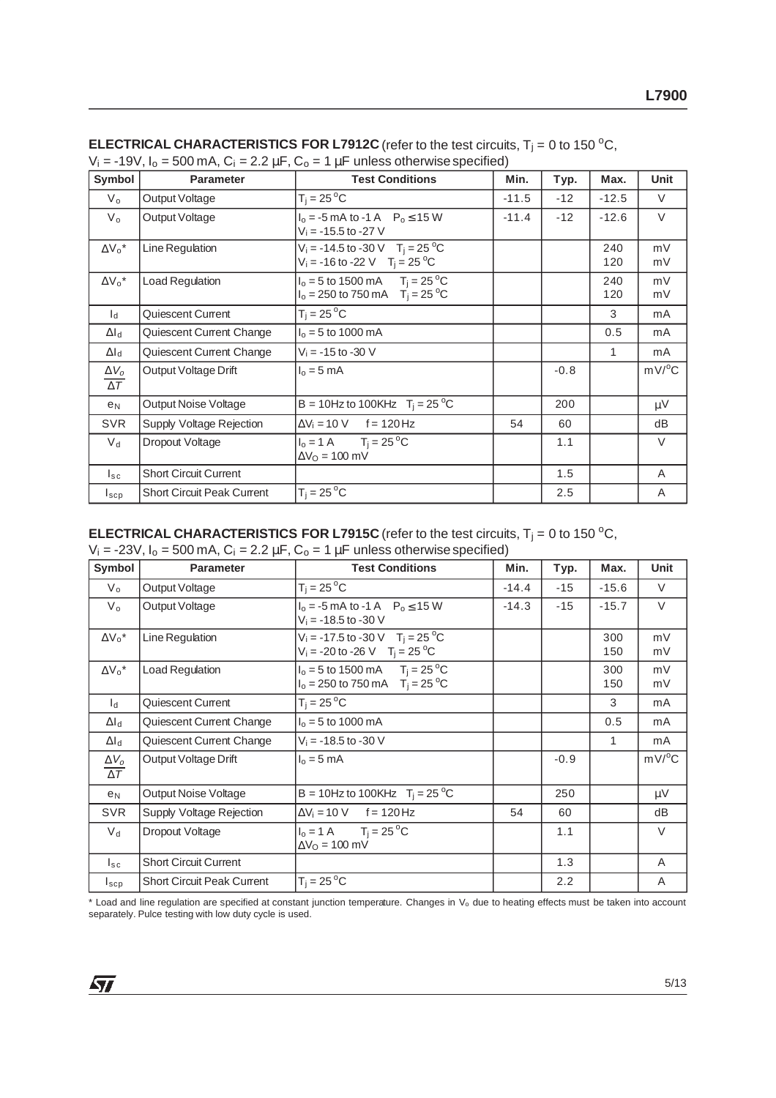| Symbol                                | <b>Parameter</b>                  | <b>Test Conditions</b>                                                                                                 | Min.    | Typ.   | Max.       | <b>Unit</b>         |
|---------------------------------------|-----------------------------------|------------------------------------------------------------------------------------------------------------------------|---------|--------|------------|---------------------|
| $V_{o}$                               | Output Voltage                    | $T_i = 25^{\circ}C$                                                                                                    | $-11.5$ | $-12$  | $-12.5$    | $\vee$              |
| $V_{o}$                               | Output Voltage                    | $I_0 = -5$ mA to -1 A $P_0 \le 15$ W<br>$V_i = -15.5$ to $-27$ V                                                       | $-11.4$ | $-12$  | $-12.6$    | $\vee$              |
| $\Delta V_0^*$                        | Line Regulation                   | $V_i = -14.5$ to $-30$ V T <sub>i</sub> = 25 <sup>o</sup> C<br>$V_i = -16$ to -22 V T <sub>i</sub> = 25 <sup>o</sup> C |         |        | 240<br>120 | mV<br>mV            |
| $\Delta V_0^*$                        | <b>Load Regulation</b>            | $I_0 = 5$ to 1500 mA $T_i = 25$ °C<br>$I_0 = 250$ to 750 mA $T_i = 25$ °C                                              |         |        | 240<br>120 | mV<br>mV            |
| $\mathsf{I}_{\mathsf{d}}$             | Quiescent Current                 | $T_i = 25^{\circ}C$                                                                                                    |         |        | 3          | mA                  |
| $\Delta I_d$                          | Quiescent Current Change          | $I_0 = 5$ to 1000 mA                                                                                                   |         |        | 0.5        | mA                  |
| $\Delta I_d$                          | Quiescent Current Change          | $V_i = -15$ to $-30$ V                                                                                                 |         |        | 1          | mA                  |
| $\Delta V_o$<br>$\overline{\Delta T}$ | Output Voltage Drift              | $I_0 = 5$ mA                                                                                                           |         | $-0.8$ |            | $mV$ <sup>o</sup> C |
| e <sub>N</sub>                        | Output Noise Voltage              | B = 10Hz to 100KHz $T_i = 25 °C$                                                                                       |         | 200    |            | μV                  |
| <b>SVR</b>                            | Supply Voltage Rejection          | $\Delta V_i = 10 \text{ V}$ f = 120 Hz                                                                                 | 54      | 60     |            | dB                  |
| $V_d$                                 | Dropout Voltage                   | $I_0 = 1 \text{ A}$ $T_i = 25 \text{ }^{\circ}\text{C}$<br>$\Delta V_O = 100$ mV                                       |         | 1.1    |            | $\vee$              |
| $I_{SC}$                              | <b>Short Circuit Current</b>      |                                                                                                                        |         | 1.5    |            | A                   |
| $I_{\texttt{SCP}}$                    | <b>Short Circuit Peak Current</b> | $T_i = 25^{\circ}C$                                                                                                    |         | 2.5    |            | A                   |

| <b>ELECTRICAL CHARACTERISTICS FOR L7912C</b> (refer to the test circuits, $T_i = 0$ to 150 °C, |  |
|------------------------------------------------------------------------------------------------|--|
| $V_i = -19V$ , $I_o = 500$ mA, $C_i = 2.2 \mu F$ , $C_o = 1 \mu F$ unless otherwise specified) |  |

## **ELECTRICAL CHARACTERISTICS FOR L7915C** (refer to the test circuits,  $T_j = 0$  to 150 °C,

| Symbol                                | <b>Parameter</b>                  | <b>Test Conditions</b>                                                                                   | Min.    | Typ.   | Max.       | Unit     |
|---------------------------------------|-----------------------------------|----------------------------------------------------------------------------------------------------------|---------|--------|------------|----------|
| $V_{o}$                               | Output Voltage                    | $T_i = 25^{\circ}C$                                                                                      | $-14.4$ | $-15$  | $-15.6$    | $\vee$   |
| $V_{\rm o}$                           | Output Voltage                    | $I_0 = -5$ mA to -1 A $P_0 \le 15$ W<br>$V_i = -18.5$ to $-30$ V                                         | $-14.3$ | $-15$  | $-15.7$    | $\vee$   |
| $\Delta V_0^*$                        | Line Regulation                   | $V_i = -17.5$ to -30 V T <sub>i</sub> = 25 <sup>o</sup> C<br>$V_i = -20$ to -26 V T <sub>i</sub> = 25 °C |         |        | 300<br>150 | mV<br>mV |
| $\Delta V_0^*$                        | <b>Load Regulation</b>            | $I_0 = 5$ to 1500 mA $T_i = 25$ °C<br>$I_0 = 250$ to 750 mA $T_i = 25$ °C                                |         |        | 300<br>150 | mV<br>mV |
| $\mathsf{I}_{\mathsf{d}}$             | Quiescent Current                 | $T_i = 25^{\circ}C$                                                                                      |         |        | 3          | mA       |
| $\Delta I_d$                          | Quiescent Current Change          | $I_0 = 5$ to 1000 mA                                                                                     |         |        | 0.5        | mA       |
| $\Delta I_d$                          | Quiescent Current Change          | $V_i = -18.5$ to -30 V                                                                                   |         |        | 1          | mA       |
| $\Delta V_o$<br>$\overline{\Delta T}$ | Output Voltage Drift              | $I_0 = 5$ mA                                                                                             |         | $-0.9$ |            | mV/°C    |
| e <sub>N</sub>                        | Output Noise Voltage              | B = 10Hz to 100KHz $T_i = 25 °C$                                                                         |         | 250    |            | $\mu V$  |
| <b>SVR</b>                            | Supply Voltage Rejection          | $\Delta V_i = 10 \text{ V}$ f = 120 Hz                                                                   | 54      | 60     |            | dB       |
| $V_{\rm d}$                           | Dropout Voltage                   | $I_0 = 1 \text{ A}$ $T_i = 25 \text{ }^{\circ}\text{C}$<br>$\Delta V_0 = 100$ mV                         |         | 1.1    |            | $\vee$   |
| $I_{\text{sc}}$                       | <b>Short Circuit Current</b>      |                                                                                                          |         | 1.3    |            | A        |
| $I_{\texttt{SCP}}$                    | <b>Short Circuit Peak Current</b> | $T_i = 25^{\circ}C$                                                                                      |         | 2.2    |            | Α        |

 $*$  Load and line regulation are specified at constant junction temperature. Changes in  $V_0$  due to heating effects must be taken into account separately. Pulce testing with low duty cycle is used.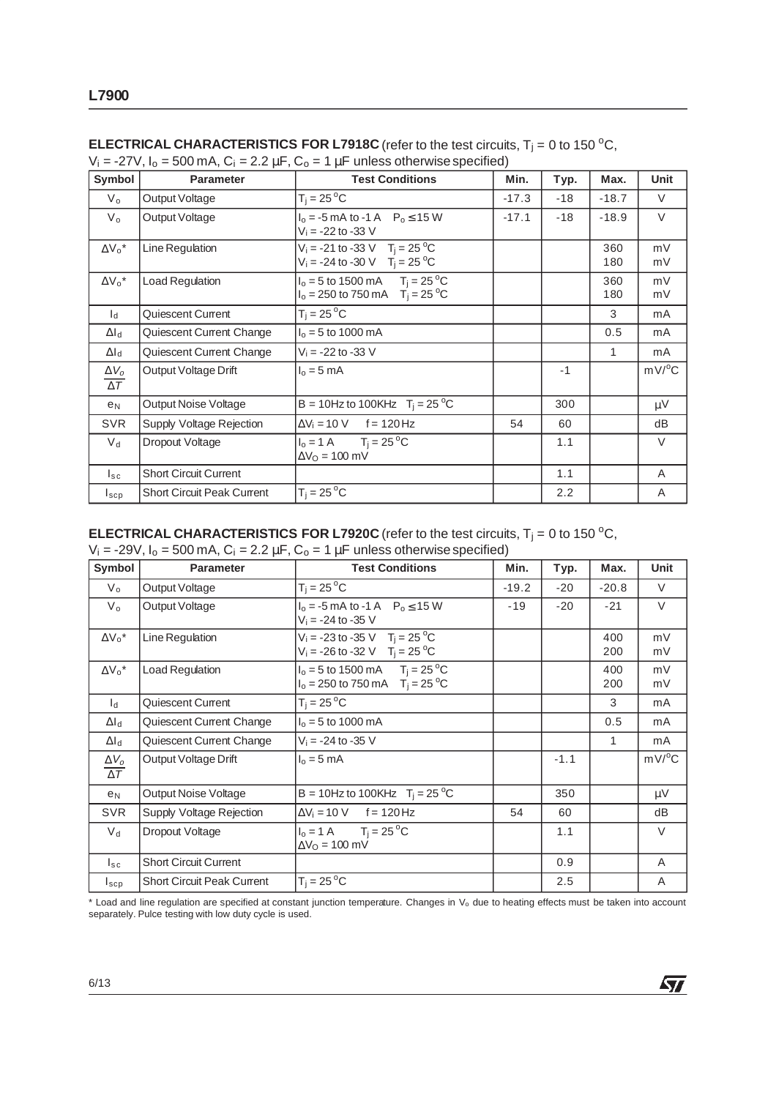| Symbol                     | <b>Parameter</b>                  | <b>Test Conditions</b>                                                                                   | Min.    | Typ.  | Max.       | Unit                |
|----------------------------|-----------------------------------|----------------------------------------------------------------------------------------------------------|---------|-------|------------|---------------------|
| $V_{o}$                    | Output Voltage                    | $T_i = 25^{\circ}C$                                                                                      | $-17.3$ | $-18$ | $-18.7$    | $\vee$              |
| $V_{o}$                    | Output Voltage                    | $I_0 = -5$ mA to -1 A $P_0 \le 15$ W<br>$V_i = -22$ to $-33$ V                                           | $-17.1$ | $-18$ | $-18.9$    | $\vee$              |
| $\Delta V_0^*$             | Line Regulation                   | $V_i = -21$ to -33 V T <sub>i</sub> = 25 <sup>o</sup> C<br>$V_i = -24$ to $-30$ V T <sub>i</sub> = 25 °C |         |       | 360<br>180 | mV<br>mV            |
| $\Delta V_0^*$             | <b>Load Regulation</b>            | $I_0 = 5$ to 1500 mA $T_j = 25$ °C<br>$I_0 = 250$ to 750 mA $T_i = 25$ °C                                |         |       | 360<br>180 | mV<br>mV            |
| $\mathsf{I}_{\mathsf{d}}$  | Quiescent Current                 | $T_i = 25^{\circ}C$                                                                                      |         |       | 3          | mA                  |
| $\Delta I_d$               | Quiescent Current Change          | $I_0 = 5$ to 1000 mA                                                                                     |         |       | 0.5        | mA                  |
| $\Delta I_d$               | Quiescent Current Change          | $V_i = -22$ to $-33$ V                                                                                   |         |       | 1          | mA                  |
| $\Delta V_o$<br>$\Delta T$ | Output Voltage Drift              | $I_0 = 5$ mA                                                                                             |         | $-1$  |            | $mV$ <sup>o</sup> C |
| e <sub>N</sub>             | Output Noise Voltage              | B = 10Hz to 100KHz $T_i = 25 \,^{\circ}\text{C}$                                                         |         | 300   |            | $\mu V$             |
| <b>SVR</b>                 | Supply Voltage Rejection          | $\Delta V_i = 10 V$<br>f = 120 Hz                                                                        | 54      | 60    |            | dB                  |
| $V_{\rm d}$                | Dropout Voltage                   | $I_0 = 1 \text{ A}$ $T_i = 25 \text{ }^{\circ}\text{C}$<br>$\Delta V_O = 100$ mV                         |         | 1.1   |            | $\vee$              |
| $I_{SC}$                   | <b>Short Circuit Current</b>      |                                                                                                          |         | 1.1   |            | A                   |
| $I_{\texttt{SCP}}$         | <b>Short Circuit Peak Current</b> | $T_i = 25^{\circ}C$                                                                                      |         | 2.2   |            | A                   |

### **ELECTRICAL CHARACTERISTICS FOR L7918C** (refer to the test circuits,  $T_j = 0$  to 150 °C,  $V_i = -27V$ ,  $I_o = 500$  mA,  $C_i = 2.2 \mu F$ ,  $C_o = 1 \mu F$  unless otherwise specified)

**ELECTRICAL CHARACTERISTICS FOR L7920C** (refer to the test circuits,  $T_j = 0$  to 150 °C,

| Symbol                                | <b>Parameter</b>                  | <b>Test Conditions</b>                                                                                   | Min.    | Typ.   | Max.       | Unit                |
|---------------------------------------|-----------------------------------|----------------------------------------------------------------------------------------------------------|---------|--------|------------|---------------------|
| $V_{o}$                               | Output Voltage                    | $T_i = 25^{\circ}C$                                                                                      | $-19.2$ | $-20$  | $-20.8$    | $\vee$              |
| $V_{\rm o}$                           | Output Voltage                    | $I_0 = -5$ mA to -1 A $P_0 \le 15$ W<br>$V_i = -24$ to $-35$ V                                           | $-19$   | $-20$  | $-21$      | $\vee$              |
| $\Delta V_0{}^\star$                  | Line Regulation                   | $V_i = -23$ to -35 V T <sub>i</sub> = 25 <sup>o</sup> C<br>$V_i = -26$ to $-32$ V T <sub>i</sub> = 25 °C |         |        | 400<br>200 | mV<br>mV            |
| $\Delta V_0^*$                        | <b>Load Regulation</b>            | $I_0 = 5$ to 1500 mA $T_i = 25$ °C<br>$I_0 = 250$ to 750 mA $T_i = 25$ °C                                |         |        | 400<br>200 | mV<br>mV            |
| $\mathsf{I}_{\mathsf{d}}$             | Quiescent Current                 | $T_i = 25^{\circ}C$                                                                                      |         |        | 3          | mA                  |
| $\Delta I_d$                          | Quiescent Current Change          | $I_0 = 5$ to 1000 mA                                                                                     |         |        | 0.5        | mA                  |
| $\Delta I_d$                          | Quiescent Current Change          | $V_i = -24$ to $-35$ V                                                                                   |         |        | 1          | mA                  |
| $\Delta V_o$<br>$\overline{\Delta T}$ | Output Voltage Drift              | $I_0 = 5$ mA                                                                                             |         | $-1.1$ |            | $mV$ <sup>o</sup> C |
| e <sub>N</sub>                        | Output Noise Voltage              | $B = 10$ Hz to 100KHz $T_i = 25$ °C                                                                      |         | 350    |            | μV                  |
| <b>SVR</b>                            | Supply Voltage Rejection          | $\Delta V_i = 10 \text{ V}$ f = 120 Hz                                                                   | 54      | 60     |            | dB                  |
| $V_{\rm d}$                           | Dropout Voltage                   | $I_0 = 1 \text{ A}$ $T_i = 25 \text{ }^{\circ}\text{C}$<br>$\Delta V_O = 100$ mV                         |         | 1.1    |            | $\vee$              |
| $I_{\tt sc}$                          | <b>Short Circuit Current</b>      |                                                                                                          |         | 0.9    |            | A                   |
| $I_{\texttt{SCP}}$                    | <b>Short Circuit Peak Current</b> | $T_i = 25^{\circ}C$                                                                                      |         | 2.5    |            | Α                   |

\* Load and line regulation are specified at constant junction temperature. Changes in V<sub>o</sub> due to heating effects must be taken into account separately. Pulce testing with low duty cycle is used.

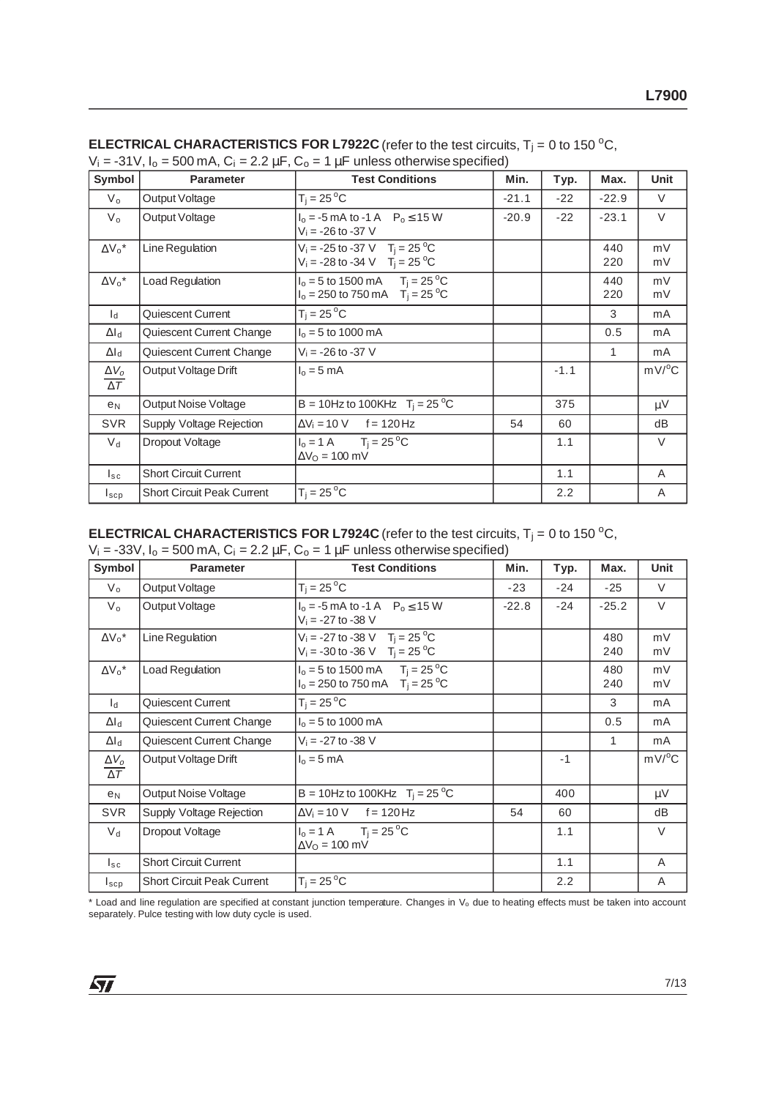| Symbol                                | <b>Parameter</b>                  | <b>Test Conditions</b>                                                                                 | Min.    | Typ.   | Max.       | <b>Unit</b>         |
|---------------------------------------|-----------------------------------|--------------------------------------------------------------------------------------------------------|---------|--------|------------|---------------------|
| $V_{o}$                               | Output Voltage                    | $T_i = 25^{\circ}C$                                                                                    | $-21.1$ | $-22$  | $-22.9$    | $\vee$              |
| $V_{o}$                               | Output Voltage                    | $I_0 = -5$ mA to -1 A $P_0 \le 15$ W<br>$V_i = -26$ to $-37$ V                                         | $-20.9$ | $-22$  | $-23.1$    | $\vee$              |
| $\Delta V_0^*$                        | Line Regulation                   | $V_i = -25$ to -37 V T <sub>i</sub> = 25 <sup>o</sup> C<br>$V_i = -28$ to -34 V T <sub>i</sub> = 25 °C |         |        | 440<br>220 | mV<br>mV            |
| $\Delta V_0^*$                        | <b>Load Regulation</b>            | $I_0 = 5$ to 1500 mA $T_i = 25$ °C<br>$I_0 = 250$ to 750 mA $T_i = 25$ °C                              |         |        | 440<br>220 | mV<br>mV            |
| $\mathsf{I}_{\mathsf{d}}$             | Quiescent Current                 | $T_i = 25^{\circ}C$                                                                                    |         |        | 3          | mA                  |
| $\Delta I_d$                          | Quiescent Current Change          | $I_0 = 5$ to 1000 mA                                                                                   |         |        | 0.5        | mA                  |
| $\Delta I_d$                          | Quiescent Current Change          | $V_i = -26$ to $-37$ V                                                                                 |         |        | 1          | mA                  |
| $\Delta V_o$<br>$\overline{\Delta T}$ | Output Voltage Drift              | $I_0 = 5$ mA                                                                                           |         | $-1.1$ |            | $mV$ <sup>o</sup> C |
| e <sub>N</sub>                        | Output Noise Voltage              | B = 10Hz to 100KHz $T_i = 25 °C$                                                                       |         | 375    |            | μV                  |
| <b>SVR</b>                            | Supply Voltage Rejection          | $\Delta V_i = 10 \text{ V}$ f = 120 Hz                                                                 | 54      | 60     |            | dB                  |
| $V_d$                                 | Dropout Voltage                   | $I_0 = 1 \text{ A}$ $T_i = 25 \text{ }^{\circ}\text{C}$<br>$\Delta V_O = 100$ mV                       |         | 1.1    |            | $\vee$              |
| $I_{SC}$                              | <b>Short Circuit Current</b>      |                                                                                                        |         | 1.1    |            | A                   |
| $I_{\texttt{SCP}}$                    | <b>Short Circuit Peak Current</b> | $T_i = 25^{\circ}C$                                                                                    |         | 2.2    |            | A                   |

| <b>ELECTRICAL CHARACTERISTICS FOR L7922C</b> (refer to the test circuits, $T_i = 0$ to 150 °C, |
|------------------------------------------------------------------------------------------------|
| $V_i = -31V$ , $I_o = 500$ mA, $C_i = 2.2 \mu F$ , $C_o = 1 \mu F$ unless otherwise specified) |

## **ELECTRICAL CHARACTERISTICS FOR L7924C** (refer to the test circuits,  $T_j = 0$  to 150 °C,

| Symbol                                | <b>Parameter</b>                  | <b>Test Conditions</b>                                                                                 | Min.<br>Typ. |       | Max.       | Unit                |
|---------------------------------------|-----------------------------------|--------------------------------------------------------------------------------------------------------|--------------|-------|------------|---------------------|
| $V_{o}$                               | Output Voltage                    | $T_i = 25^{\circ}C$                                                                                    | $-23$        | $-24$ | $-25$      | V                   |
| $V_{\rm o}$                           | Output Voltage                    | $I_0 = -5$ mA to -1 A $P_0 \le 15$ W<br>$V_i = -27$ to $-38$ V                                         | $-22.8$      | $-24$ | $-25.2$    | $\vee$              |
| $\Delta V_0^*$                        | Line Regulation                   | $V_i = -27$ to -38 V T <sub>i</sub> = 25 <sup>o</sup> C<br>$V_i = -30$ to -36 V T <sub>i</sub> = 25 °C |              |       | 480<br>240 | mV<br>mV            |
| $\Delta V_0^*$                        | <b>Load Regulation</b>            | $I_0 = 5$ to 1500 mA $T_i = 25$ °C<br>$I_0 = 250$ to 750 mA $T_i = 25$ °C                              |              |       | 480<br>240 | mV<br>mV            |
| $\mathsf{I}_{\mathsf{d}}$             | Quiescent Current                 | $T_i = 25^{\circ}C$                                                                                    |              |       | 3          | mA                  |
| $\Delta I_d$                          | Quiescent Current Change          | $I_0 = 5$ to 1000 mA                                                                                   |              |       | 0.5        | mA                  |
| $\Delta I_d$                          | Quiescent Current Change          | $V_i = -27$ to $-38$ V                                                                                 |              |       | 1          | mA                  |
| $\Delta V_o$<br>$\overline{\Delta T}$ | Output Voltage Drift              | $I_0 = 5$ mA                                                                                           |              | $-1$  |            | $mV$ <sup>o</sup> C |
| e <sub>N</sub>                        | Output Noise Voltage              | B = 10Hz to 100KHz $T_i = 25 °C$                                                                       |              | 400   |            | $\mu V$             |
| <b>SVR</b>                            | Supply Voltage Rejection          | $\Delta V_i = 10 \text{ V}$ f = 120 Hz                                                                 | 54           | 60    |            | dB                  |
| $V_{\rm d}$                           | Dropout Voltage                   | $I_0 = 1 \text{ A}$ $T_i = 25 \text{ }^{\circ}\text{C}$<br>$\Delta V_O = 100$ mV                       |              | 1.1   |            | V                   |
| $I_{\tt sc}$                          | <b>Short Circuit Current</b>      |                                                                                                        |              | 1.1   |            | A                   |
| $I_{\texttt{SCP}}$                    | <b>Short Circuit Peak Current</b> | $T_i = 25^{\circ}C$                                                                                    |              | 2.2   |            | Α                   |

 $*$  Load and line regulation are specified at constant junction temperature. Changes in  $V_0$  due to heating effects must be taken into account separately. Pulce testing with low duty cycle is used.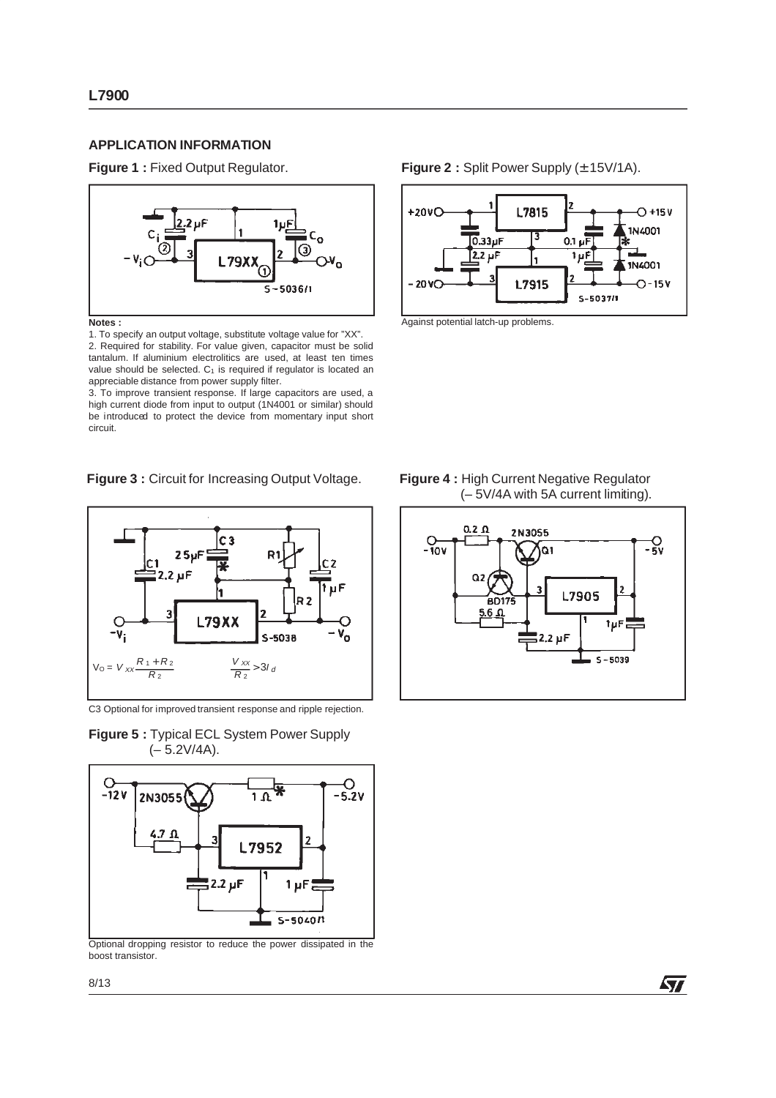### **APPLICATION INFORMATION**

**Figure 1 :** Fixed Output Regulator. **Figure 2 :** Split Power Supply ( $\pm$  15V/1A).



**Notes :**

1. To specify an output voltage, substitute voltage value for "XX". 2. Required for stability. For value given, capacitor must be solid tantalum. If aluminium electrolitics are used, at least ten times value should be selected.  $C_1$  is required if regulator is located an appreciable distance from power supply filter.

3. To improve transient response. If large capacitors are used, a high current diode from input to output (1N4001 or similar) should be introduced to protect the device from momentary input short circuit.

**Figure 3 :** Circuit for Increasing Output Voltage. **Figure 4 :** High Current Negative Regulator



C3 Optional for improved transient response and ripple rejection.

**Figure 5 :** Typical ECL System Power Supply  $(-5.2V/4A)$ .



Optional dropping resistor to reduce the power dissipated in the boost transistor.

Against potential latch-up problems.



 $0.33 \mu F$ 

 $2.2 \mu F$ 

 $+20V$ 

 $-20V$ 

L7815

Е

l۱

**L7915** 

 $0.1 \mu \overline{F}$ 

1uF

 $5 - 503711$ 

 $O + 15V$ 

1N4001

**IN4001** 

 $O-15V$ 

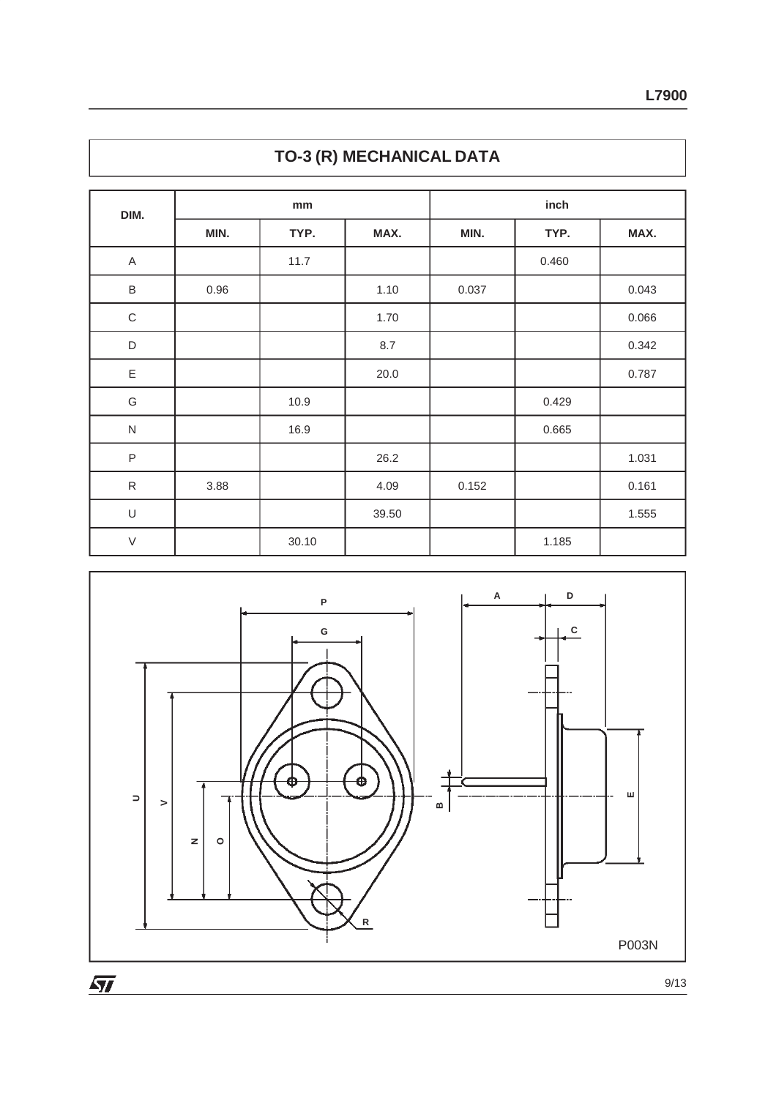| DIM.          | mm   |       |       | inch  |       |       |  |
|---------------|------|-------|-------|-------|-------|-------|--|
|               | MIN. | TYP.  | MAX.  | MIN.  | TYP.  | MAX.  |  |
| A             |      | 11.7  |       |       | 0.460 |       |  |
| $\sf B$       | 0.96 |       | 1.10  | 0.037 |       | 0.043 |  |
| $\mathsf C$   |      |       | 1.70  |       |       | 0.066 |  |
| $\mathsf D$   |      |       | 8.7   |       |       | 0.342 |  |
| $\mathsf E$   |      |       | 20.0  |       |       | 0.787 |  |
| ${\mathsf G}$ |      | 10.9  |       |       | 0.429 |       |  |
| ${\sf N}$     |      | 16.9  |       |       | 0.665 |       |  |
| $\sf P$       |      |       | 26.2  |       |       | 1.031 |  |
| ${\sf R}$     | 3.88 |       | 4.09  | 0.152 |       | 0.161 |  |
| $\cup$        |      |       | 39.50 |       |       | 1.555 |  |
| $\vee$        |      | 30.10 |       |       | 1.185 |       |  |



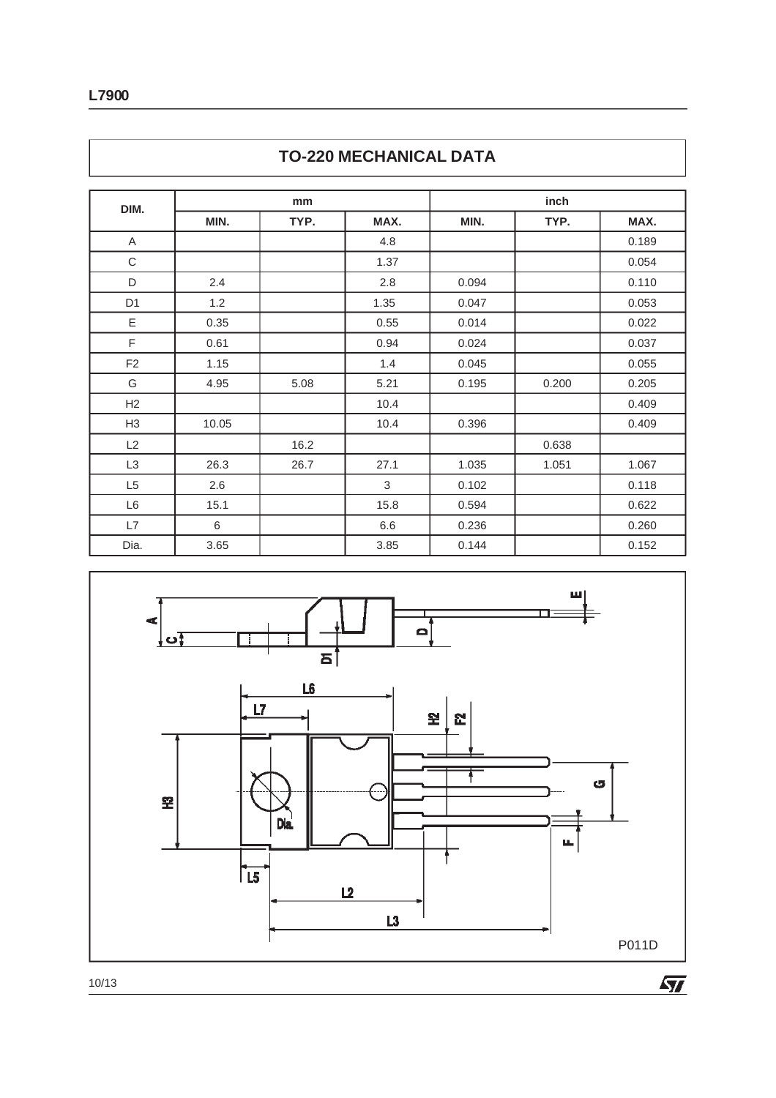| DIM.           | mm    |      |                | inch  |       |       |  |
|----------------|-------|------|----------------|-------|-------|-------|--|
|                | MIN.  | TYP. | MAX.           | MIN.  | TYP.  | MAX.  |  |
| $\mathsf A$    |       |      | 4.8            |       |       | 0.189 |  |
| $\mathbf C$    |       |      | 1.37           |       |       | 0.054 |  |
| $\mathsf D$    | 2.4   |      | 2.8            | 0.094 |       | 0.110 |  |
| D <sub>1</sub> | 1.2   |      | 1.35           | 0.047 |       | 0.053 |  |
| $\mathsf E$    | 0.35  |      | 0.55           | 0.014 |       | 0.022 |  |
| $\mathsf F$    | 0.61  |      | 0.94           | 0.024 |       | 0.037 |  |
| F <sub>2</sub> | 1.15  |      | 1.4            | 0.045 |       | 0.055 |  |
| G              | 4.95  | 5.08 | 5.21           | 0.195 | 0.200 | 0.205 |  |
| H2             |       |      | 10.4           |       |       | 0.409 |  |
| H <sub>3</sub> | 10.05 |      | 10.4           | 0.396 |       | 0.409 |  |
| L2             |       | 16.2 |                |       | 0.638 |       |  |
| L3             | 26.3  | 26.7 | 27.1           | 1.035 | 1.051 | 1.067 |  |
| L <sub>5</sub> | 2.6   |      | $\mathfrak{S}$ | 0.102 |       | 0.118 |  |
| L6             | 15.1  |      | 15.8           | 0.594 |       | 0.622 |  |
| L7             | 6     |      | 6.6            | 0.236 |       | 0.260 |  |
| Dia.           | 3.65  |      | 3.85           | 0.144 |       | 0.152 |  |





10/13

 $\sqrt{2}$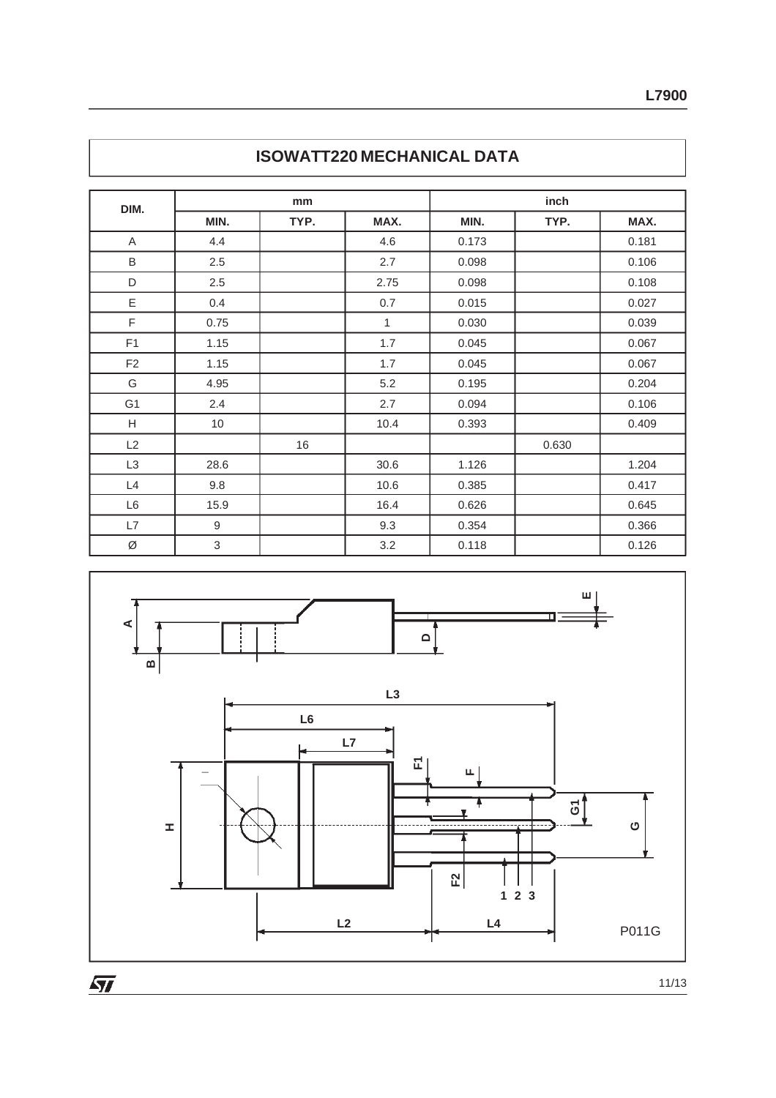| DIM.           | mm               |      |      | inch  |       |       |  |
|----------------|------------------|------|------|-------|-------|-------|--|
|                | MIN.             | TYP. | MAX. | MIN.  | TYP.  | MAX.  |  |
| A              | 4.4              |      | 4.6  | 0.173 |       | 0.181 |  |
| B              | 2.5              |      | 2.7  | 0.098 |       | 0.106 |  |
| D              | 2.5              |      | 2.75 | 0.098 |       | 0.108 |  |
| Ε              | 0.4              |      | 0.7  | 0.015 |       | 0.027 |  |
| F              | 0.75             |      | 1    | 0.030 |       | 0.039 |  |
| F <sub>1</sub> | 1.15             |      | 1.7  | 0.045 |       | 0.067 |  |
| F <sub>2</sub> | 1.15             |      | 1.7  | 0.045 |       | 0.067 |  |
| G              | 4.95             |      | 5.2  | 0.195 |       | 0.204 |  |
| G1             | 2.4              |      | 2.7  | 0.094 |       | 0.106 |  |
| Н              | $10$             |      | 10.4 | 0.393 |       | 0.409 |  |
| L2             |                  | 16   |      |       | 0.630 |       |  |
| L <sub>3</sub> | 28.6             |      | 30.6 | 1.126 |       | 1.204 |  |
| L4             | 9.8              |      | 10.6 | 0.385 |       | 0.417 |  |
| L6             | 15.9             |      | 16.4 | 0.626 |       | 0.645 |  |
| L7             | $\boldsymbol{9}$ |      | 9.3  | 0.354 |       | 0.366 |  |
| Ø              | 3                |      | 3.2  | 0.118 |       | 0.126 |  |





 $\sqrt{27}$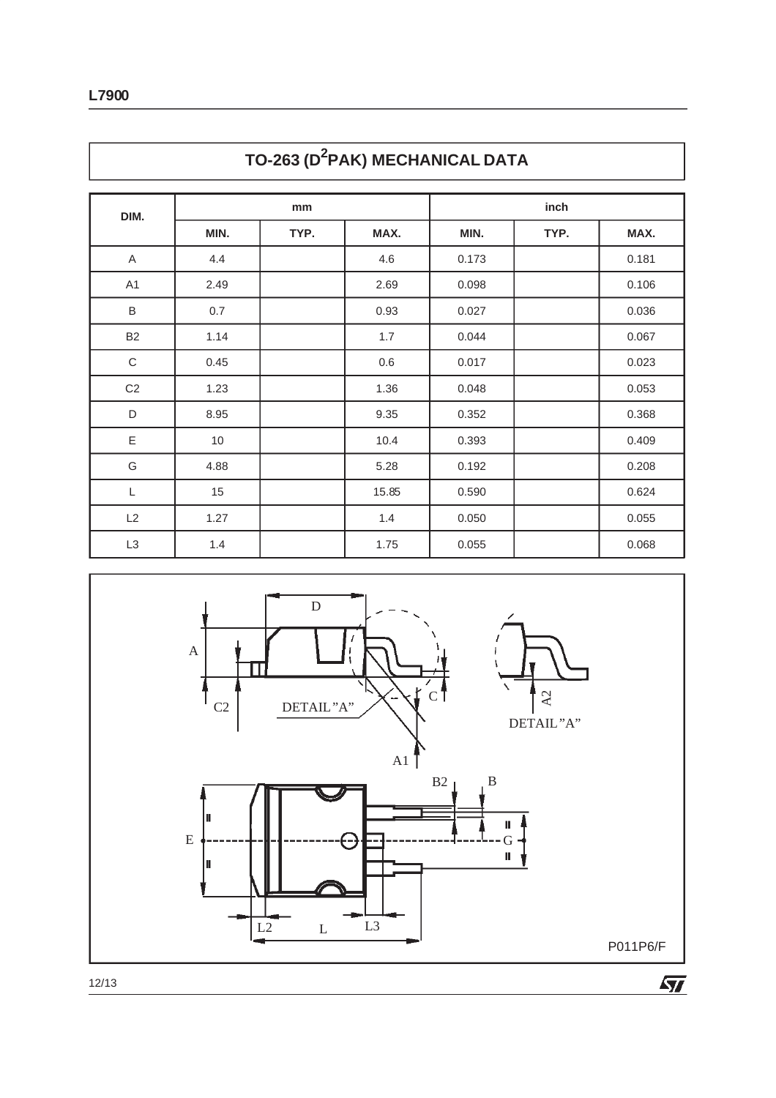| DIM.                      | mm   |      |       | inch  |      |       |  |
|---------------------------|------|------|-------|-------|------|-------|--|
|                           | MIN. | TYP. | MAX.  | MIN.  | TYP. | MAX.  |  |
| $\boldsymbol{\mathsf{A}}$ | 4.4  |      | 4.6   | 0.173 |      | 0.181 |  |
| A1                        | 2.49 |      | 2.69  | 0.098 |      | 0.106 |  |
| $\sf B$                   | 0.7  |      | 0.93  | 0.027 |      | 0.036 |  |
| <b>B2</b>                 | 1.14 |      | 1.7   | 0.044 |      | 0.067 |  |
| $\mathbf C$               | 0.45 |      | 0.6   | 0.017 |      | 0.023 |  |
| C <sub>2</sub>            | 1.23 |      | 1.36  | 0.048 |      | 0.053 |  |
| $\mathsf D$               | 8.95 |      | 9.35  | 0.352 |      | 0.368 |  |
| $\mathsf E$               | 10   |      | 10.4  | 0.393 |      | 0.409 |  |
| G                         | 4.88 |      | 5.28  | 0.192 |      | 0.208 |  |
| $\mathsf L$               | 15   |      | 15.85 | 0.590 |      | 0.624 |  |
| L2                        | 1.27 |      | 1.4   | 0.050 |      | 0.055 |  |
| L <sub>3</sub>            | 1.4  |      | 1.75  | 0.055 |      | 0.068 |  |





12/13

 $\sqrt{2}$